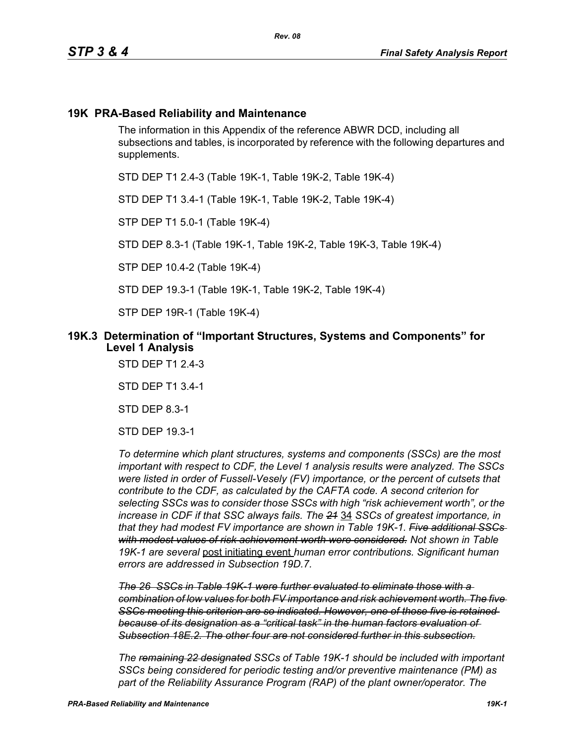## **19K PRA-Based Reliability and Maintenance**

The information in this Appendix of the reference ABWR DCD, including all subsections and tables, is incorporated by reference with the following departures and supplements.

STD DEP T1 2.4-3 (Table 19K-1, Table 19K-2, Table 19K-4)

STD DEP T1 3.4-1 (Table 19K-1, Table 19K-2, Table 19K-4)

STP DEP T1 5.0-1 (Table 19K-4)

STD DEP 8.3-1 (Table 19K-1, Table 19K-2, Table 19K-3, Table 19K-4)

STP DEP 10.4-2 (Table 19K-4)

STD DEP 19.3-1 (Table 19K-1, Table 19K-2, Table 19K-4)

STP DEP 19R-1 (Table 19K-4)

#### **19K.3 Determination of "Important Structures, Systems and Components" for Level 1 Analysis**

STD DEP T1 2.4-3

STD DEP T1 3.4-1

STD DEP 8.3-1

STD DEP 19.3-1

*To determine which plant structures, systems and components (SSCs) are the most important with respect to CDF, the Level 1 analysis results were analyzed. The SSCs were listed in order of Fussell-Vesely (FV) importance, or the percent of cutsets that contribute to the CDF, as calculated by the CAFTA code. A second criterion for selecting SSCs was to consider those SSCs with high "risk achievement worth", or the increase in CDF if that SSC always fails. The 21* 34 *SSCs of greatest importance, in that they had modest FV importance are shown in Table 19K-1. Five additional SSCs with modest values of risk achievement worth were considered. Not shown in Table 19K-1 are several* post initiating event *human error contributions. Significant human errors are addressed in Subsection 19D.7.*

*The 26 SSCs in Table 19K-1 were further evaluated to eliminate those with a combination of low values for both FV importance and risk achievement worth. The five SSCs meeting this criterion are so indicated. However, one of those five is retained because of its designation as a "critical task" in the human factors evaluation of Subsection 18E.2. The other four are not considered further in this subsection.*

*The remaining 22 designated SSCs of Table 19K-1 should be included with important SSCs being considered for periodic testing and/or preventive maintenance (PM) as part of the Reliability Assurance Program (RAP) of the plant owner/operator. The*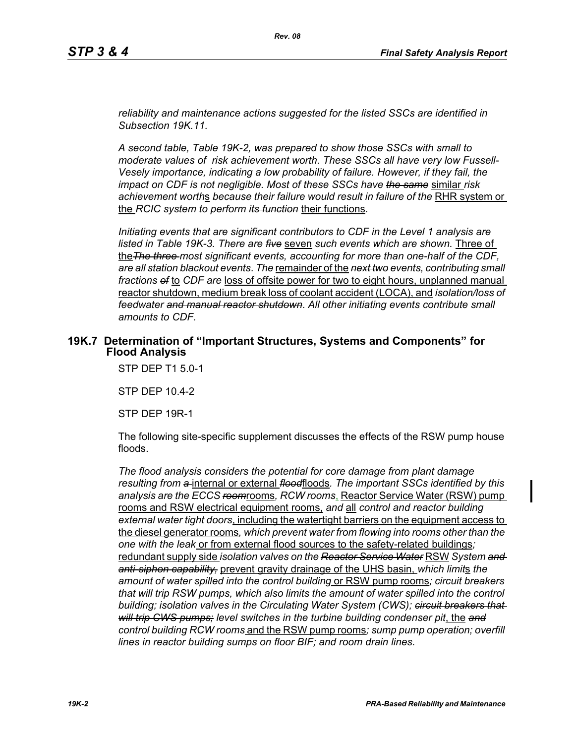*reliability and maintenance actions suggested for the listed SSCs are identified in Subsection 19K.11.*

*A second table, Table 19K-2, was prepared to show those SSCs with small to moderate values of risk achievement worth. These SSCs all have very low Fussell-Vesely importance, indicating a low probability of failure. However, if they fail, the impact on CDF is not negligible. Most of these SSCs have the same* similar *risk*  achievement worths because their failure would result in failure of the RHR system or the *RCIC system to perform its function* their functions*.*

*Initiating events that are significant contributors to CDF in the Level 1 analysis are listed in Table 19K-3. There are five* seven *such events which are shown.* Three of the*The three most significant events, accounting for more than one-half of the CDF, are all station blackout events*. *The* remainder of the *next two events, contributing small fractions of* to *CDF are* loss of offsite power for two to eight hours, unplanned manual reactor shutdown, medium break loss of coolant accident (LOCA), and *isolation/loss of feedwater and manual reactor shutdown*. *All other initiating events contribute small amounts to CDF.*

#### **19K.7 Determination of "Important Structures, Systems and Components" for Flood Analysis**

STP DEP T1 5.0-1

STP DEP 10.4-2

STP DEP 19R-1

The following site-specific supplement discusses the effects of the RSW pump house floods.

*The flood analysis considers the potential for core damage from plant damage resulting from a* internal or external *flood*floods*. The important SSCs identified by this analysis are the ECCS room*rooms*, RCW rooms*, Reactor Service Water (RSW) pump rooms and RSW electrical equipment rooms, *and* all *control and reactor building external water tight doors*, including the watertight barriers on the equipment access to the diesel generator rooms*, which prevent water from flowing into rooms other than the one with the leak* or from external flood sources to the safety-related buildings*;*  redundant supply side *isolation valves on the Reactor Service Water* RSW *System and anti-siphon capability,* prevent gravity drainage of the UHS basin, *which limit*s *the amount of water spilled into the control building* or RSW pump rooms*; circuit breakers that will trip RSW pumps, which also limits the amount of water spilled into the control building; isolation valves in the Circulating Water System (CWS); circuit breakers that will trip CWS pumps; level switches in the turbine building condenser pit*, the *and control building RCW rooms* and the RSW pump rooms*; sump pump operation; overfill lines in reactor building sumps on floor BIF; and room drain lines.*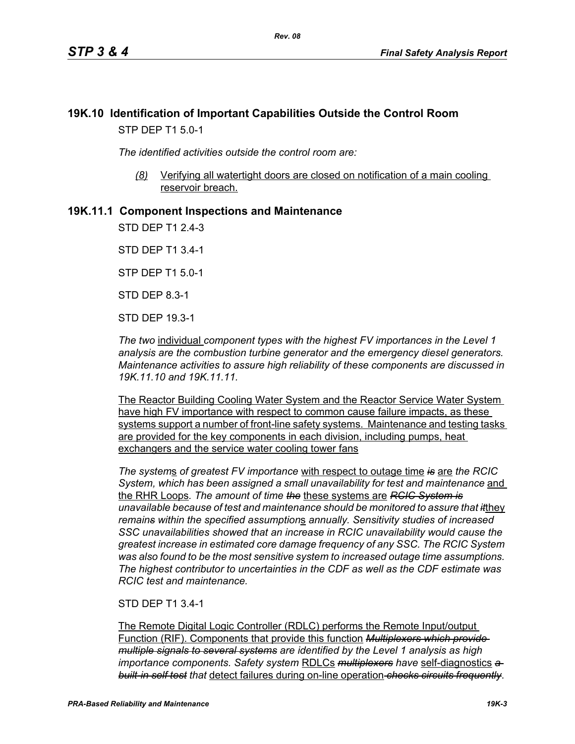## **19K.10 Identification of Important Capabilities Outside the Control Room** STP DEP T1 5.0-1

*The identified activities outside the control room are:*

*(8)* Verifying all watertight doors are closed on notification of a main cooling reservoir breach.

### **19K.11.1 Component Inspections and Maintenance**

STD DEP T1 2.4-3

STD DEP T1 3.4-1

STP DEP T1 5.0-1

STD DEP 8.3-1

STD DEP 19.3-1

*The two* individual *component types with the highest FV importances in the Level 1 analysis are the combustion turbine generator and the emergency diesel generators. Maintenance activities to assure high reliability of these components are discussed in 19K.11.10 and 19K.11.11.*

The Reactor Building Cooling Water System and the Reactor Service Water System have high FV importance with respect to common cause failure impacts, as these systems support a number of front-line safety systems. Maintenance and testing tasks are provided for the key components in each division, including pumps, heat exchangers and the service water cooling tower fans

*The system*s *of greatest FV importance* with respect to outage time *is* are *the RCIC System, which has been assigned a small unavailability for test and maintenance* and the RHR Loops*. The amount of time the* these systems are *RCIC System is unavailable because of test and maintenance should be monitored to assure that it*they *remains within the specified assumption*s *annually. Sensitivity studies of increased SSC unavailabilities showed that an increase in RCIC unavailability would cause the greatest increase in estimated core damage frequency of any SSC. The RCIC System was also found to be the most sensitive system to increased outage time assumptions. The highest contributor to uncertainties in the CDF as well as the CDF estimate was RCIC test and maintenance.*

#### STD DEP T1 3.4-1

The Remote Digital Logic Controller (RDLC) performs the Remote Input/output Function (RIF). Components that provide this function *Multiplexers which provide multiple signals to several systems are identified by the Level 1 analysis as high importance components. Safety system* RDLCs *multiplexers have* self-diagnostics *a built-in self test that* detect failures during on-line operation *checks circuits frequently*.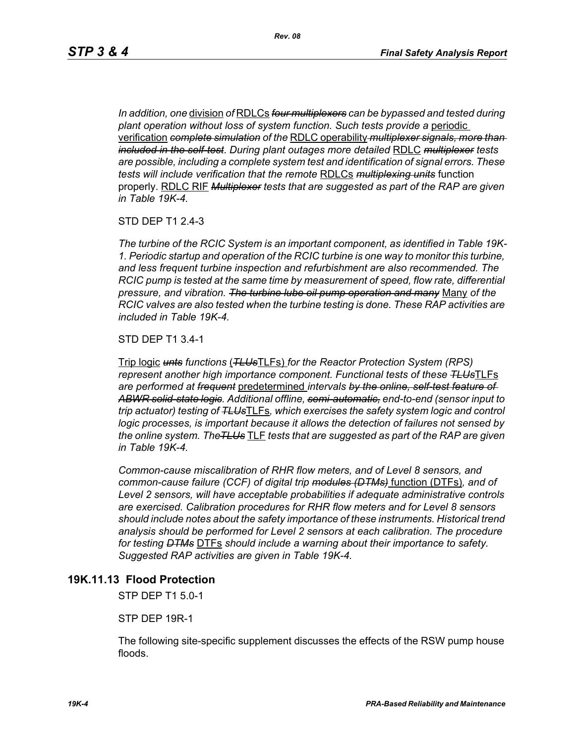*In addition, one* division *of* RDLCs *four multiplexers can be bypassed and tested during plant operation without loss of system function. Such tests provide a* periodic verification *complete simulation of the* RDLC operability *multiplexer signals, more than included in the self-test*. *During plant outages more detailed* RDLC *multiplexer tests are possible, including a complete system test and identification of signal errors. These tests will include verification that the remote* RDLCs *multiplexing units* function properly. RDLC RIF *Multiplexer tests that are suggested as part of the RAP are given in Table 19K-4.*

STD DEP T1 2.4-3

*The turbine of the RCIC System is an important component, as identified in Table 19K-1. Periodic startup and operation of the RCIC turbine is one way to monitor this turbine, and less frequent turbine inspection and refurbishment are also recommended. The RCIC pump is tested at the same time by measurement of speed, flow rate, differential pressure, and vibration. The turbine lube oil pump operation and many* Many *of the RCIC valves are also tested when the turbine testing is done. These RAP activities are included in Table 19K-4.*

STD DEP T1 3.4-1

Trip logic *unts functions* (*TLUs*TLFs) *for the Reactor Protection System (RPS) represent another high importance component. Functional tests of these TLUs*TLFs *are performed at frequent* predetermined *intervals by the online, self-test feature of ABWR solid-state logic. Additional offline, semi-automatic, end-to-end (sensor input to trip actuator) testing of TLUs*TLFs*, which exercises the safety system logic and control logic processes, is important because it allows the detection of failures not sensed by the online system. TheTLUs* TLF *tests that are suggested as part of the RAP are given in Table 19K-4.* 

*Common-cause miscalibration of RHR flow meters, and of Level 8 sensors, and common-cause failure (CCF) of digital trip modules (DTMs)* function (DTFs)*, and of Level 2 sensors, will have acceptable probabilities if adequate administrative controls are exercised. Calibration procedures for RHR flow meters and for Level 8 sensors should include notes about the safety importance of these instruments. Historical trend analysis should be performed for Level 2 sensors at each calibration. The procedure for testing DTMs* DTFs *should include a warning about their importance to safety. Suggested RAP activities are given in Table 19K-4.*

#### **19K.11.13 Flood Protection**

STP DEP T1 5.0-1

STP DEP 19R-1

The following site-specific supplement discusses the effects of the RSW pump house floods.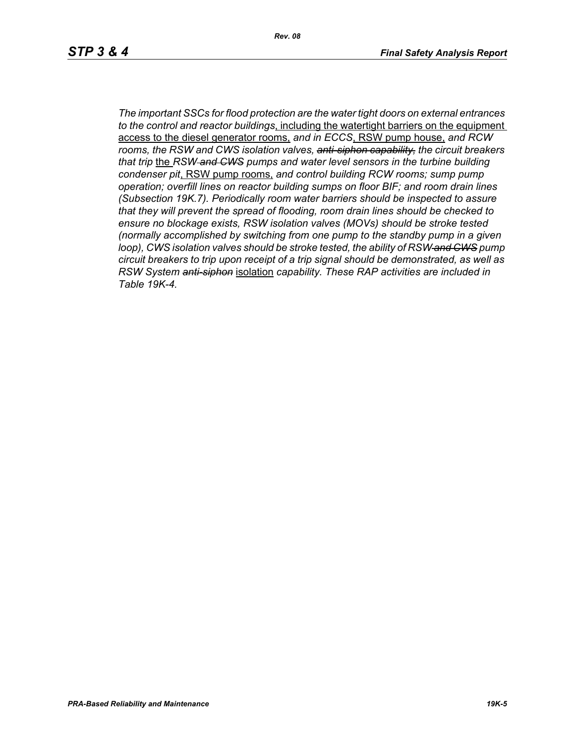*The important SSCs for flood protection are the water tight doors on external entrances to the control and reactor buildings*, including the watertight barriers on the equipment access to the diesel generator rooms, *and in ECCS*, RSW pump house, *and RCW rooms, the RSW and CWS isolation valves, anti-siphon capability, the circuit breakers that trip* the *RSW and CWS pumps and water level sensors in the turbine building condenser pit*, RSW pump rooms, *and control building RCW rooms; sump pump operation; overfill lines on reactor building sumps on floor BIF; and room drain lines (Subsection 19K.7). Periodically room water barriers should be inspected to assure that they will prevent the spread of flooding, room drain lines should be checked to ensure no blockage exists, RSW isolation valves (MOVs) should be stroke tested (normally accomplished by switching from one pump to the standby pump in a given loop), CWS isolation valves should be stroke tested, the ability of RSW and CWS pump circuit breakers to trip upon receipt of a trip signal should be demonstrated, as well as RSW System anti-siphon* isolation *capability. These RAP activities are included in Table 19K-4.*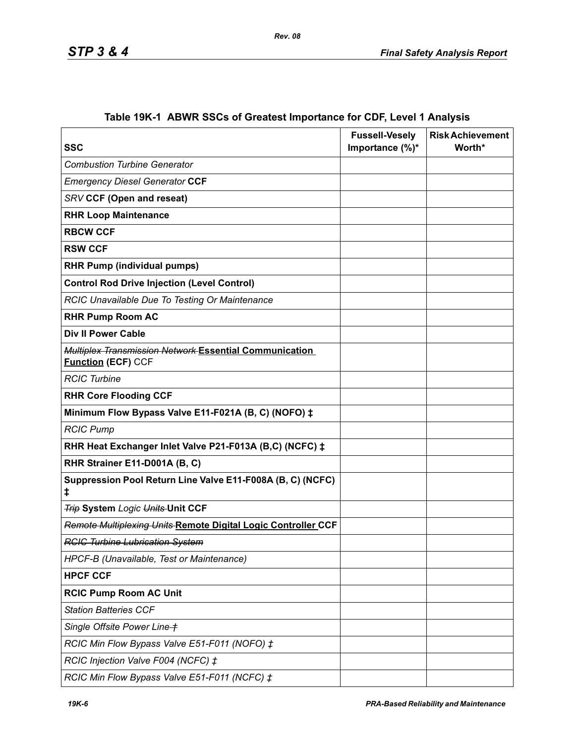| <b>SSC</b>                                                                          | <b>Fussell-Vesely</b><br>Importance (%)* | <b>Risk Achievement</b><br>Worth* |
|-------------------------------------------------------------------------------------|------------------------------------------|-----------------------------------|
| <b>Combustion Turbine Generator</b>                                                 |                                          |                                   |
| <b>Emergency Diesel Generator CCF</b>                                               |                                          |                                   |
| <b>SRV CCF (Open and reseat)</b>                                                    |                                          |                                   |
| <b>RHR Loop Maintenance</b>                                                         |                                          |                                   |
| <b>RBCW CCF</b>                                                                     |                                          |                                   |
| <b>RSW CCF</b>                                                                      |                                          |                                   |
| <b>RHR Pump (individual pumps)</b>                                                  |                                          |                                   |
| <b>Control Rod Drive Injection (Level Control)</b>                                  |                                          |                                   |
| RCIC Unavailable Due To Testing Or Maintenance                                      |                                          |                                   |
| <b>RHR Pump Room AC</b>                                                             |                                          |                                   |
| <b>Div II Power Cable</b>                                                           |                                          |                                   |
| Multiplex Transmission Network Essential Communication<br><b>Function (ECF) CCF</b> |                                          |                                   |
| <b>RCIC Turbine</b>                                                                 |                                          |                                   |
| <b>RHR Core Flooding CCF</b>                                                        |                                          |                                   |
| Minimum Flow Bypass Valve E11-F021A (B, C) (NOFO) ‡                                 |                                          |                                   |
| <b>RCIC Pump</b>                                                                    |                                          |                                   |
| RHR Heat Exchanger Inlet Valve P21-F013A (B,C) (NCFC) ‡                             |                                          |                                   |
| RHR Strainer E11-D001A (B, C)                                                       |                                          |                                   |
| Suppression Pool Return Line Valve E11-F008A (B, C) (NCFC)<br>ŧ                     |                                          |                                   |
| <b>Trip System Logic Units-Unit CCF</b>                                             |                                          |                                   |
| Remote Multiplexing Units Remote Digital Logic Controller CCF                       |                                          |                                   |
| <b>RCIC Turbine Lubrication System</b>                                              |                                          |                                   |
| HPCF-B (Unavailable, Test or Maintenance)                                           |                                          |                                   |
| <b>HPCF CCF</b>                                                                     |                                          |                                   |
| <b>RCIC Pump Room AC Unit</b>                                                       |                                          |                                   |
| <b>Station Batteries CCF</b>                                                        |                                          |                                   |
| Single Offsite Power Line +                                                         |                                          |                                   |
| RCIC Min Flow Bypass Valve E51-F011 (NOFO) ‡                                        |                                          |                                   |
| RCIC Injection Valve F004 (NCFC) ‡                                                  |                                          |                                   |
| RCIC Min Flow Bypass Valve E51-F011 (NCFC) ‡                                        |                                          |                                   |

# **Table 19K-1 ABWR SSCs of Greatest Importance for CDF, Level 1 Analysis**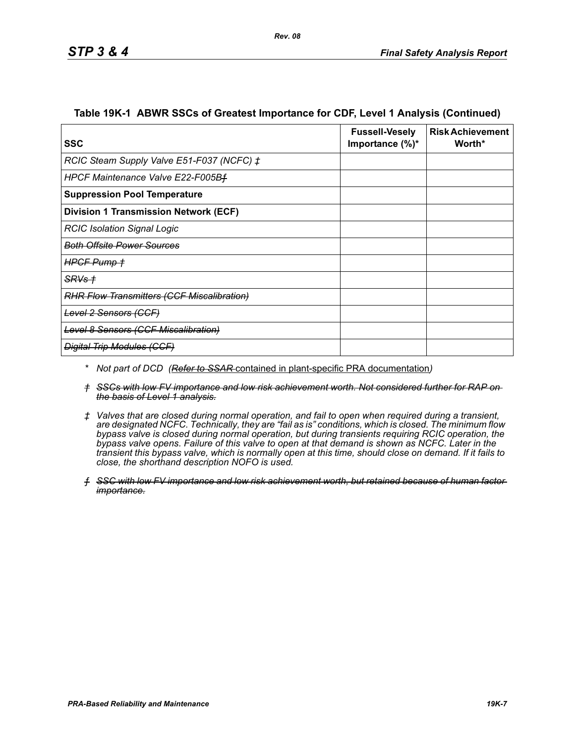| SSC                                          | <b>Fussell-Vesely</b><br>Importance $(\%)^*$ | <b>Risk Achievement</b><br>Worth* |
|----------------------------------------------|----------------------------------------------|-----------------------------------|
| RCIC Steam Supply Valve E51-F037 (NCFC) ‡    |                                              |                                   |
| HPCF Maintenance Valve E22-F005Bf            |                                              |                                   |
| <b>Suppression Pool Temperature</b>          |                                              |                                   |
| <b>Division 1 Transmission Network (ECF)</b> |                                              |                                   |
| <b>RCIC Isolation Signal Logic</b>           |                                              |                                   |
| <b>Both Offsite Power Sources</b>            |                                              |                                   |
| HPGF Pump +                                  |                                              |                                   |
| <del>SRVs †</del>                            |                                              |                                   |
| RHR Flow Transmitters (CCF Miscalibration)   |                                              |                                   |
| <del>Level 2 Sensors (CCF)</del>             |                                              |                                   |
| <b>Level 8 Sensors (CCF Miscalibration)</b>  |                                              |                                   |
| <b>Digital Trip Modules (CCF)</b>            |                                              |                                   |

#### **Table 19K-1 ABWR SSCs of Greatest Importance for CDF, Level 1 Analysis (Continued)**

- *\* Not part of DCD (Refer to SSAR* contained in plant-specific PRA documentation*)*
- *† SSCs with low FV importance and low risk achievement worth. Not considered further for RAP on the basis of Level 1 analysis.*
- *‡ Valves that are closed during normal operation, and fail to open when required during a transient, are designated NCFC. Technically, they are "fail as is" conditions, which is closed. The minimum flow bypass valve is closed during normal operation, but during transients requiring RCIC operation, the bypass valve opens. Failure of this valve to open at that demand is shown as NCFC. Later in the transient this bypass valve, which is normally open at this time, should close on demand. If it fails to close, the shorthand description NOFO is used.*
- *ƒ SSC with low FV importance and low risk achievement worth, but retained because of human factor importance.*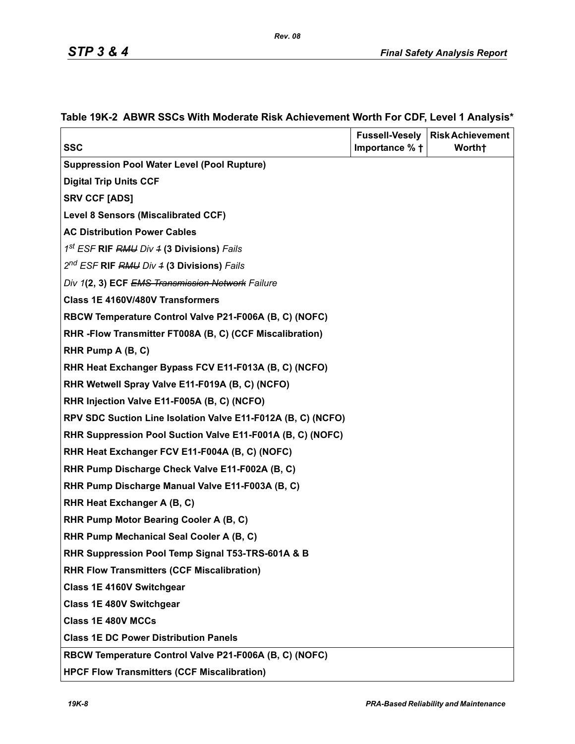|                                                              | <b>Fussell-Vesely</b> | <b>Risk Achievement</b> |
|--------------------------------------------------------------|-----------------------|-------------------------|
| <b>SSC</b>                                                   | Importance % +        | Worth <sup>+</sup>      |
| <b>Suppression Pool Water Level (Pool Rupture)</b>           |                       |                         |
| <b>Digital Trip Units CCF</b>                                |                       |                         |
| <b>SRV CCF [ADS]</b>                                         |                       |                         |
| <b>Level 8 Sensors (Miscalibrated CCF)</b>                   |                       |                         |
| <b>AC Distribution Power Cables</b>                          |                       |                         |
| 1 <sup>st</sup> ESF <b>RIF</b> RMU Div 4 (3 Divisions) Fails |                       |                         |
| 2 <sup>nd</sup> ESF RIF RMU Div 4 (3 Divisions) Fails        |                       |                         |
| Div 1(2, 3) ECF EMS Transmission Network Failure             |                       |                         |
| Class 1E 4160V/480V Transformers                             |                       |                         |
| RBCW Temperature Control Valve P21-F006A (B, C) (NOFC)       |                       |                         |
| RHR - Flow Transmitter FT008A (B, C) (CCF Miscalibration)    |                       |                         |
| RHR Pump A (B, C)                                            |                       |                         |
| RHR Heat Exchanger Bypass FCV E11-F013A (B, C) (NCFO)        |                       |                         |
| RHR Wetwell Spray Valve E11-F019A (B, C) (NCFO)              |                       |                         |
| RHR Injection Valve E11-F005A (B, C) (NCFO)                  |                       |                         |
| RPV SDC Suction Line Isolation Valve E11-F012A (B, C) (NCFO) |                       |                         |
| RHR Suppression Pool Suction Valve E11-F001A (B, C) (NOFC)   |                       |                         |
| RHR Heat Exchanger FCV E11-F004A (B, C) (NOFC)               |                       |                         |
| RHR Pump Discharge Check Valve E11-F002A (B, C)              |                       |                         |
| RHR Pump Discharge Manual Valve E11-F003A (B, C)             |                       |                         |
| RHR Heat Exchanger A (B, C)                                  |                       |                         |
| RHR Pump Motor Bearing Cooler A (B, C)                       |                       |                         |
| RHR Pump Mechanical Seal Cooler A (B, C)                     |                       |                         |
| RHR Suppression Pool Temp Signal T53-TRS-601A & B            |                       |                         |
| <b>RHR Flow Transmitters (CCF Miscalibration)</b>            |                       |                         |
| Class 1E 4160V Switchgear                                    |                       |                         |
| Class 1E 480V Switchgear                                     |                       |                         |
| <b>Class 1E 480V MCCs</b>                                    |                       |                         |
| <b>Class 1E DC Power Distribution Panels</b>                 |                       |                         |
| RBCW Temperature Control Valve P21-F006A (B, C) (NOFC)       |                       |                         |
| <b>HPCF Flow Transmitters (CCF Miscalibration)</b>           |                       |                         |

### **Table 19K-2 ABWR SSCs With Moderate Risk Achievement Worth For CDF, Level 1 Analysis\***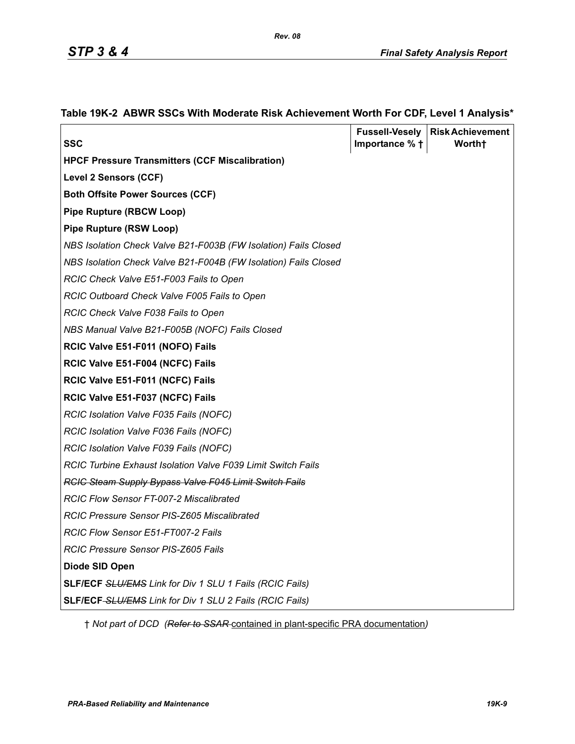|                                                                 |                | <b>Fussell-Vesely   Risk Achievement</b> |
|-----------------------------------------------------------------|----------------|------------------------------------------|
| <b>SSC</b>                                                      | Importance % + | Worth†                                   |
| <b>HPCF Pressure Transmitters (CCF Miscalibration)</b>          |                |                                          |
| Level 2 Sensors (CCF)                                           |                |                                          |
| <b>Both Offsite Power Sources (CCF)</b>                         |                |                                          |
| <b>Pipe Rupture (RBCW Loop)</b>                                 |                |                                          |
| <b>Pipe Rupture (RSW Loop)</b>                                  |                |                                          |
| NBS Isolation Check Valve B21-F003B (FW Isolation) Fails Closed |                |                                          |
| NBS Isolation Check Valve B21-F004B (FW Isolation) Fails Closed |                |                                          |
| RCIC Check Valve E51-F003 Fails to Open                         |                |                                          |
| RCIC Outboard Check Valve F005 Fails to Open                    |                |                                          |
| RCIC Check Valve F038 Fails to Open                             |                |                                          |
| NBS Manual Valve B21-F005B (NOFC) Fails Closed                  |                |                                          |
| RCIC Valve E51-F011 (NOFO) Fails                                |                |                                          |
| RCIC Valve E51-F004 (NCFC) Fails                                |                |                                          |
| RCIC Valve E51-F011 (NCFC) Fails                                |                |                                          |
| RCIC Valve E51-F037 (NCFC) Fails                                |                |                                          |
| RCIC Isolation Valve F035 Fails (NOFC)                          |                |                                          |
| RCIC Isolation Valve F036 Fails (NOFC)                          |                |                                          |
| RCIC Isolation Valve F039 Fails (NOFC)                          |                |                                          |
| RCIC Turbine Exhaust Isolation Valve F039 Limit Switch Fails    |                |                                          |
| <b>RCIC Steam Supply Bypass Valve F045 Limit Switch Fails</b>   |                |                                          |
| <b>RCIC Flow Sensor FT-007-2 Miscalibrated</b>                  |                |                                          |
| RCIC Pressure Sensor PIS-Z605 Miscalibrated                     |                |                                          |
| RCIC Flow Sensor E51-FT007-2 Fails                              |                |                                          |
| RCIC Pressure Sensor PIS-Z605 Fails                             |                |                                          |
| Diode SID Open                                                  |                |                                          |
| <b>SLF/ECF SLU/EMS Link for Div 1 SLU 1 Fails (RCIC Fails)</b>  |                |                                          |
| <b>SLF/ECF-SLU/EMS Link for Div 1 SLU 2 Fails (RCIC Fails)</b>  |                |                                          |

#### **Table 19K-2 ABWR SSCs With Moderate Risk Achievement Worth For CDF, Level 1 Analysis\***

† *Not part of DCD (Refer to SSAR* contained in plant-specific PRA documentation*)*

*Rev. 08*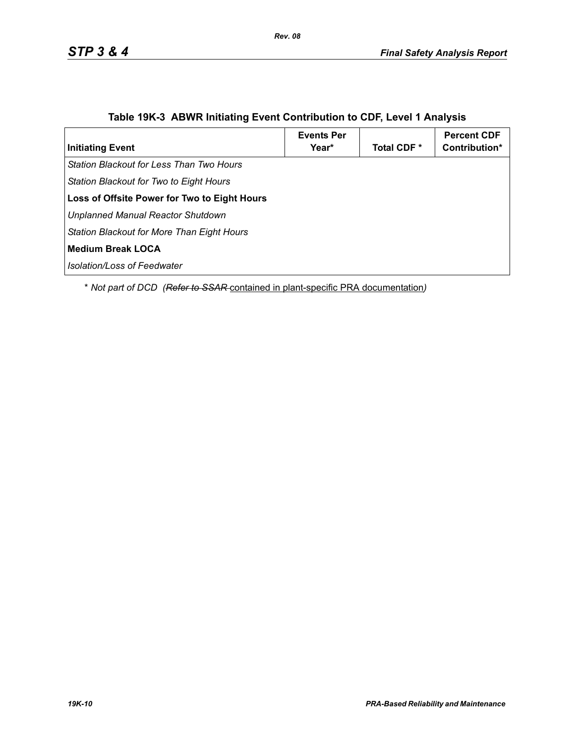| <b>Initiating Event</b>                             | <b>Events Per</b><br>Year* | Total CDF * | <b>Percent CDF</b><br>Contribution* |
|-----------------------------------------------------|----------------------------|-------------|-------------------------------------|
| Station Blackout for Less Than Two Hours            |                            |             |                                     |
| Station Blackout for Two to Eight Hours             |                            |             |                                     |
| <b>Loss of Offsite Power for Two to Eight Hours</b> |                            |             |                                     |
| Unplanned Manual Reactor Shutdown                   |                            |             |                                     |
| Station Blackout for More Than Eight Hours          |                            |             |                                     |
| Medium Break LOCA                                   |                            |             |                                     |
| <b>Isolation/Loss of Feedwater</b>                  |                            |             |                                     |

### **Table 19K-3 ABWR Initiating Event Contribution to CDF, Level 1 Analysis**

\* *Not part of DCD (Refer to SSAR* contained in plant-specific PRA documentation*)*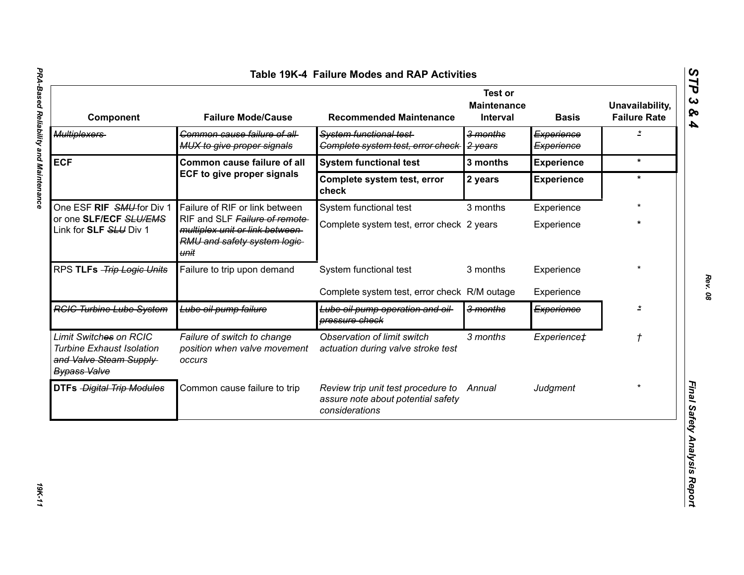| $\boldsymbol{\omega}$<br>Table 19K-4 Failure Modes and RAP Activities<br>ËP<br><b>Test or</b><br>$\boldsymbol{\omega}$ |                                                                                                          |                                                                                            |                                |                          |                                        |  |
|------------------------------------------------------------------------------------------------------------------------|----------------------------------------------------------------------------------------------------------|--------------------------------------------------------------------------------------------|--------------------------------|--------------------------|----------------------------------------|--|
| Component                                                                                                              | <b>Failure Mode/Cause</b>                                                                                | <b>Recommended Maintenance</b>                                                             | <b>Maintenance</b><br>Interval | <b>Basis</b>             | Unavailability,<br><b>Failure Rate</b> |  |
| <b>Multiplexers</b>                                                                                                    | Common cause failure of all-<br>MUX to give proper signals                                               | System functional test-<br>Complete system test, error check                               | 3 months<br>2 years            | Experience<br>Experience | $\overline{z}$                         |  |
| <b>ECF</b>                                                                                                             | <b>Common cause failure of all</b>                                                                       | <b>System functional test</b>                                                              | 3 months                       | <b>Experience</b>        | $\star$                                |  |
|                                                                                                                        | ECF to give proper signals                                                                               | Complete system test, error<br>check                                                       | 2 years                        | <b>Experience</b>        | $\star$                                |  |
| One ESF RIF SMU for Div 1<br>or one SLF/ECF SLU/EMS<br>Link for SLF SLU Div 1                                          | Failure of RIF or link between                                                                           | System functional test                                                                     | 3 months                       | Experience               |                                        |  |
|                                                                                                                        | RIF and SLF Failure of remote<br>multiplex unit or link between-<br>RMU and safety system logic-<br>unit | Complete system test, error check 2 years                                                  |                                | Experience               | $\star$                                |  |
| RPS TLFs -Trip Logic Units                                                                                             | Failure to trip upon demand                                                                              | System functional test                                                                     | 3 months                       | Experience               |                                        |  |
|                                                                                                                        |                                                                                                          | Complete system test, error check R/M outage                                               |                                | Experience               |                                        |  |
| <b>RGIG Turbine Lube System</b>                                                                                        | Lube oil pump failure                                                                                    | Lube oil pump operation and oil-<br>pressure check                                         | 3 months                       | Experience               | $\star$                                |  |
| Limit Switches on RCIC<br><b>Turbine Exhaust Isolation</b><br>and Valve Steam Supply<br><b>Bypass Valve</b>            | Failure of switch to change<br>position when valve movement<br><b>OCCUIS</b>                             | Observation of limit switch<br>actuation during valve stroke test                          | 3 months                       | Experience‡              | $\mathcal{L}_{\mathcal{A}}$            |  |
| <b>DTFs Digital Trip Modules</b>                                                                                       | Common cause failure to trip                                                                             | Review trip unit test procedure to<br>assure note about potential safety<br>considerations | Annual                         | Judgment                 |                                        |  |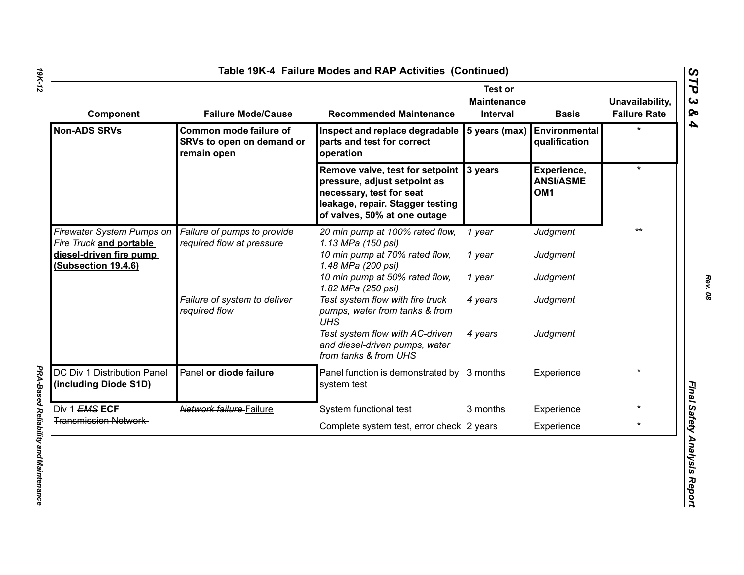| Component                                                 | <b>Failure Mode/Cause</b>                                          | <b>Recommended Maintenance</b>                                                                                                                                          | <b>Test or</b><br><b>Maintenance</b><br>Interval | <b>Basis</b>                                       | Unavailability,<br><b>Failure Rate</b> |
|-----------------------------------------------------------|--------------------------------------------------------------------|-------------------------------------------------------------------------------------------------------------------------------------------------------------------------|--------------------------------------------------|----------------------------------------------------|----------------------------------------|
| <b>Non-ADS SRVs</b>                                       | Common mode failure of<br>SRVs to open on demand or<br>remain open | Inspect and replace degradable<br>parts and test for correct<br>operation                                                                                               | 5 years (max)                                    | Environmental<br>qualification                     |                                        |
|                                                           |                                                                    | Remove valve, test for setpoint 3 years<br>pressure, adjust setpoint as<br>necessary, test for seat<br>leakage, repair. Stagger testing<br>of valves, 50% at one outage |                                                  | Experience,<br><b>ANSI/ASME</b><br>OM <sub>1</sub> | $\star$                                |
| Firewater System Pumps on                                 | Failure of pumps to provide<br>required flow at pressure           | 20 min pump at 100% rated flow,<br>1.13 MPa (150 psi)                                                                                                                   | 1 year                                           | Judgment                                           | **                                     |
| Fire Truck and portable<br><u>diesel-driven fire pump</u> |                                                                    | 10 min pump at 70% rated flow,<br>1.48 MPa (200 psi)                                                                                                                    | 1 year                                           | Judgment                                           |                                        |
| (Subsection 19.4.6)                                       |                                                                    | 10 min pump at 50% rated flow,<br>1.82 MPa (250 psi)                                                                                                                    | 1 year                                           | Judgment                                           |                                        |
|                                                           | Failure of system to deliver<br>required flow                      | Test system flow with fire truck<br>pumps, water from tanks & from<br><b>UHS</b>                                                                                        | 4 years                                          | Judgment                                           |                                        |
|                                                           |                                                                    | Test system flow with AC-driven<br>and diesel-driven pumps, water<br>from tanks & from UHS                                                                              | 4 years                                          | Judgment                                           |                                        |
| DC Div 1 Distribution Panel<br>(including Diode S1D)      | Panel or diode failure                                             | Panel function is demonstrated by 3 months<br>system test                                                                                                               |                                                  | Experience                                         | $\star$                                |
| Div 1 EMS ECF                                             | Network failure Failure                                            | System functional test                                                                                                                                                  | 3 months                                         | Experience                                         |                                        |
| <b>Transmission Network</b>                               |                                                                    | Complete system test, error check 2 years                                                                                                                               |                                                  | Experience                                         | $\star$                                |

*19K-12*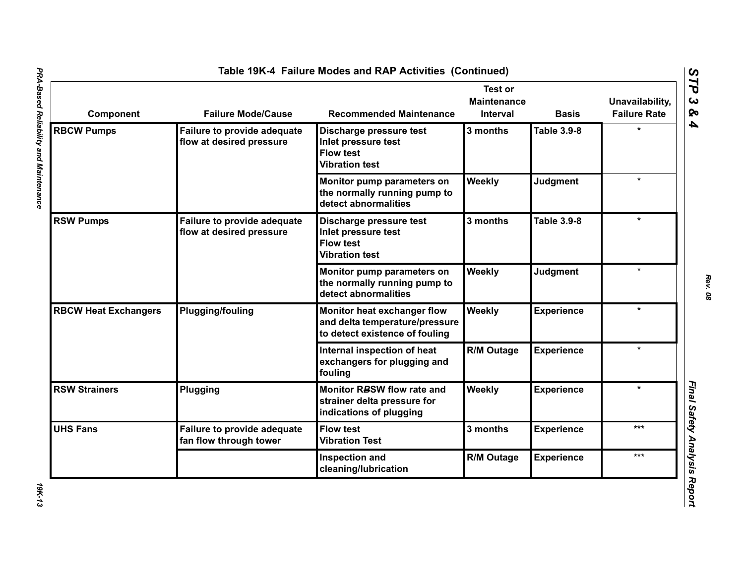| Component                   | <b>Failure Mode/Cause</b>                                      | <b>Recommended Maintenance</b>                                                                  | <b>Test or</b><br><b>Maintenance</b><br><b>Interval</b> | <b>Basis</b>       | Unavailability,<br><b>Failure Rate</b> |
|-----------------------------|----------------------------------------------------------------|-------------------------------------------------------------------------------------------------|---------------------------------------------------------|--------------------|----------------------------------------|
| <b>RBCW Pumps</b>           | Failure to provide adequate<br>flow at desired pressure        | Discharge pressure test<br>Inlet pressure test<br><b>Flow test</b><br><b>Vibration test</b>     | 3 months                                                | <b>Table 3.9-8</b> |                                        |
|                             |                                                                | Monitor pump parameters on<br>the normally running pump to<br>detect abnormalities              | Weekly                                                  | <b>Judgment</b>    | $\star$                                |
| <b>RSW Pumps</b>            | <b>Failure to provide adequate</b><br>flow at desired pressure | Discharge pressure test<br>Inlet pressure test<br><b>Flow test</b><br><b>Vibration test</b>     | 3 months                                                | Table 3.9-8        | $\star$                                |
|                             |                                                                | Monitor pump parameters on<br>the normally running pump to<br>detect abnormalities              | Weekly                                                  | <b>Judgment</b>    | $\star$                                |
| <b>RBCW Heat Exchangers</b> | <b>Plugging/fouling</b>                                        | Monitor heat exchanger flow<br>and delta temperature/pressure<br>to detect existence of fouling | Weekly                                                  | <b>Experience</b>  | $\star$                                |
|                             |                                                                | Internal inspection of heat<br>exchangers for plugging and<br>fouling                           | <b>R/M Outage</b>                                       | <b>Experience</b>  |                                        |
| <b>RSW Strainers</b>        | Plugging                                                       | Monitor RBSW flow rate and<br>strainer delta pressure for<br>indications of plugging            | Weekly                                                  | <b>Experience</b>  | $\star$                                |
| <b>UHS Fans</b>             | Failure to provide adequate<br>fan flow through tower          | <b>Flow test</b><br><b>Vibration Test</b>                                                       | 3 months                                                | <b>Experience</b>  | ***                                    |
|                             |                                                                | Inspection and<br>cleaning/lubrication                                                          | <b>R/M Outage</b>                                       | <b>Experience</b>  | ***                                    |

*Rev. 08*

**19K-13**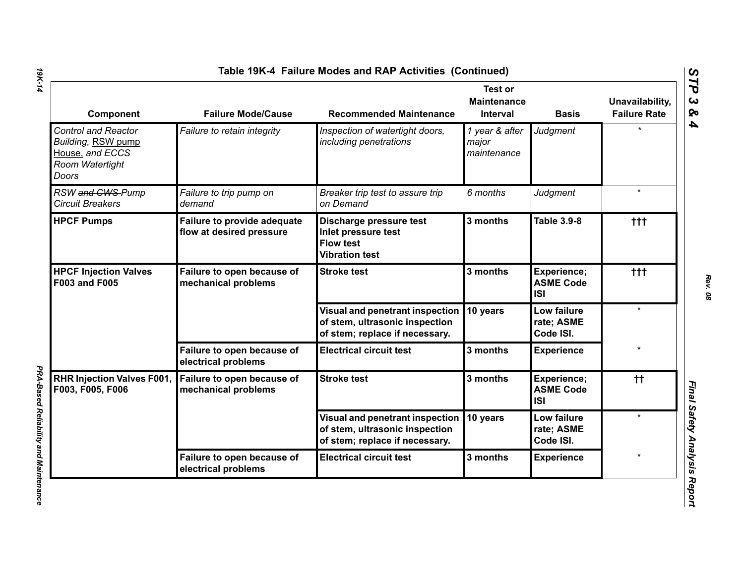| Component                                                                                              | <b>Failure Mode/Cause</b>                                      | <b>Recommended Maintenance</b>                                                                      | <b>Test or</b><br><b>Maintenance</b><br>Interval | <b>Basis</b>                                  | Unavailability,<br><b>Failure Rate</b> |
|--------------------------------------------------------------------------------------------------------|----------------------------------------------------------------|-----------------------------------------------------------------------------------------------------|--------------------------------------------------|-----------------------------------------------|----------------------------------------|
| <b>Control and Reactor</b><br>Building, RSW pump<br>House, and ECCS<br>Room Watertight<br><b>Doors</b> | Failure to retain integrity                                    | Inspection of watertight doors,<br>including penetrations                                           | 1 year & after<br>major<br>maintenance           | Judgment                                      | ÷                                      |
| RSW and CWS-Pump<br><b>Circuit Breakers</b>                                                            | Failure to trip pump on<br>demand                              | Breaker trip test to assure trip<br>on Demand                                                       | 6 months                                         | Judgment                                      | $\star$                                |
| <b>HPCF Pumps</b>                                                                                      | <b>Failure to provide adequate</b><br>flow at desired pressure | Discharge pressure test<br>Inlet pressure test<br><b>Flow test</b><br><b>Vibration test</b>         | 3 months                                         | <b>Table 3.9-8</b>                            | ttt                                    |
| <b>HPCF Injection Valves</b><br>F003 and F005                                                          | Failure to open because of<br>mechanical problems              | <b>Stroke test</b>                                                                                  | 3 months                                         | Experience;<br><b>ASME Code</b><br><b>ISI</b> | $+ + +$                                |
|                                                                                                        |                                                                | Visual and penetrant inspection<br>of stem, ultrasonic inspection<br>of stem; replace if necessary. | 10 years                                         | Low failure<br>rate; ASME<br>Code ISI.        | $\star$                                |
|                                                                                                        | Failure to open because of<br>electrical problems              | <b>Electrical circuit test</b>                                                                      | 3 months                                         | <b>Experience</b>                             |                                        |
| RHR Injection Valves F001,<br>F003, F005, F006                                                         | Failure to open because of<br>mechanical problems              | <b>Stroke test</b>                                                                                  | 3 months                                         | Experience;<br><b>ASME Code</b><br><b>ISI</b> | tt.                                    |
|                                                                                                        |                                                                | Visual and penetrant inspection<br>of stem, ultrasonic inspection<br>of stem; replace if necessary. | 10 years                                         | Low failure<br>rate; ASME<br>Code ISI.        | $\star$                                |
|                                                                                                        | Failure to open because of<br>electrical problems              | <b>Electrical circuit test</b>                                                                      | 3 months                                         | <b>Experience</b>                             |                                        |

*PRA-Based Reliability and Maintenance* 

PRA-Based Reliability and Maintenance

*STP 3 & 4*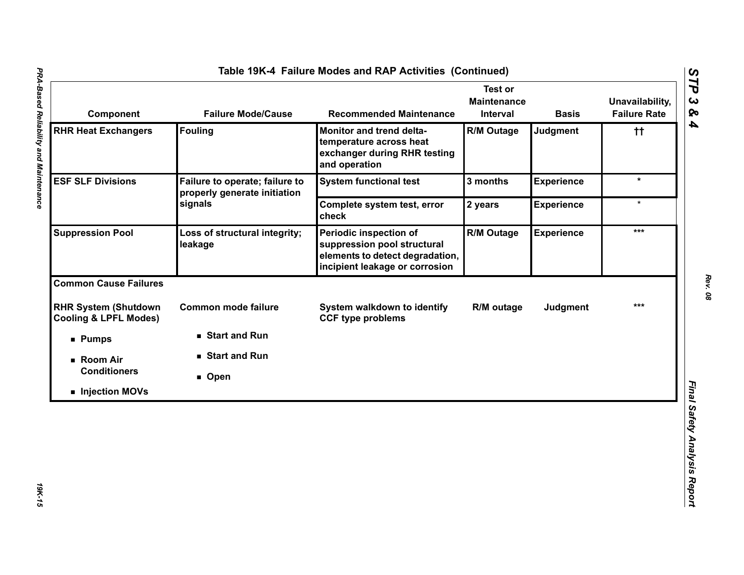| Component                                                       | <b>Failure Mode/Cause</b>                                      | <b>Recommended Maintenance</b>                                                                                             | <b>Test or</b><br><b>Maintenance</b><br>Interval | <b>Basis</b>      | Unavailability,<br><b>Failure Rate</b> |
|-----------------------------------------------------------------|----------------------------------------------------------------|----------------------------------------------------------------------------------------------------------------------------|--------------------------------------------------|-------------------|----------------------------------------|
| <b>RHR Heat Exchangers</b>                                      | <b>Fouling</b>                                                 | Monitor and trend delta-<br>temperature across heat<br>exchanger during RHR testing<br>and operation                       | <b>R/M Outage</b>                                | Judgment          | $^{\dagger\dagger}$                    |
| <b>ESF SLF Divisions</b>                                        | Failure to operate; failure to<br>properly generate initiation | <b>System functional test</b>                                                                                              | 3 months                                         | <b>Experience</b> | $\star$                                |
|                                                                 | signals                                                        | Complete system test, error<br>check                                                                                       | 2 years                                          | <b>Experience</b> | $\star$                                |
| <b>Suppression Pool</b>                                         | Loss of structural integrity;<br>leakage                       | Periodic inspection of<br>suppression pool structural<br>elements to detect degradation,<br>incipient leakage or corrosion | <b>R/M Outage</b>                                | <b>Experience</b> | ***                                    |
| <b>Common Cause Failures</b>                                    |                                                                |                                                                                                                            |                                                  |                   |                                        |
| <b>RHR System (Shutdown</b><br><b>Cooling &amp; LPFL Modes)</b> | <b>Common mode failure</b>                                     | System walkdown to identify<br><b>CCF type problems</b>                                                                    | R/M outage                                       | <b>Judgment</b>   | $***$                                  |
| <b>Pumps</b>                                                    | Start and Run                                                  |                                                                                                                            |                                                  |                   |                                        |
| ■ Room Air                                                      | ■ Start and Run                                                |                                                                                                                            |                                                  |                   |                                        |
| <b>Conditioners</b>                                             | ■ Open                                                         |                                                                                                                            |                                                  |                   |                                        |
| Injection MOVs                                                  |                                                                |                                                                                                                            |                                                  |                   |                                        |

t

*Rev. 08*

*STP 3 & 4*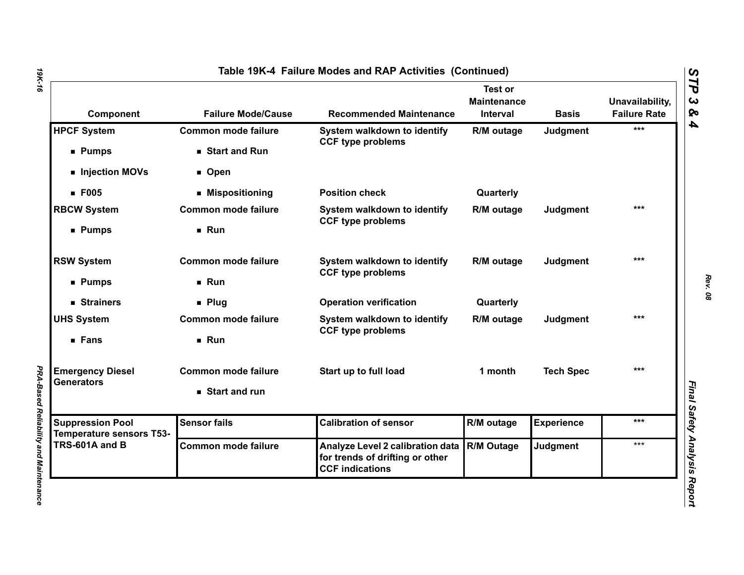| Component                                                  | <b>Failure Mode/Cause</b>  | <b>Recommended Maintenance</b>                                                                | <b>Test or</b><br><b>Maintenance</b><br>Interval | <b>Basis</b>      | Unavailability,<br><b>Failure Rate</b> |
|------------------------------------------------------------|----------------------------|-----------------------------------------------------------------------------------------------|--------------------------------------------------|-------------------|----------------------------------------|
| <b>HPCF System</b>                                         | <b>Common mode failure</b> | System walkdown to identify<br><b>CCF type problems</b>                                       | R/M outage                                       | Judgment          | ***                                    |
| <b>Pumps</b>                                               | Start and Run              |                                                                                               |                                                  |                   |                                        |
| Injection MOVs                                             | <b>D</b> Open              |                                                                                               |                                                  |                   |                                        |
| <b>F005</b>                                                | ■ Mispositioning           | <b>Position check</b>                                                                         | Quarterly                                        |                   |                                        |
| <b>RBCW System</b>                                         | <b>Common mode failure</b> | System walkdown to identify<br><b>CCF type problems</b>                                       | R/M outage                                       | Judgment          | ***                                    |
| ■ Pumps                                                    | Run                        |                                                                                               |                                                  |                   |                                        |
| <b>RSW System</b>                                          | <b>Common mode failure</b> | System walkdown to identify<br><b>CCF type problems</b>                                       | R/M outage                                       | <b>Judgment</b>   | $***$                                  |
| ■ Pumps                                                    | Run                        |                                                                                               |                                                  |                   |                                        |
| ■ Strainers                                                | $\blacksquare$ Plug        | <b>Operation verification</b>                                                                 | Quarterly                                        |                   |                                        |
| <b>UHS System</b>                                          | <b>Common mode failure</b> | System walkdown to identify                                                                   | R/M outage                                       | Judgment          | $***$                                  |
| ■ Fans                                                     | Run                        | <b>CCF type problems</b>                                                                      |                                                  |                   |                                        |
| <b>Emergency Diesel</b>                                    | <b>Common mode failure</b> | Start up to full load                                                                         | 1 month                                          | <b>Tech Spec</b>  | $***$                                  |
| Generators                                                 | Start and run              |                                                                                               |                                                  |                   |                                        |
| <b>Suppression Pool</b><br><b>Temperature sensors T53-</b> | <b>Sensor fails</b>        | <b>Calibration of sensor</b>                                                                  | R/M outage                                       | <b>Experience</b> | ***                                    |
| TRS-601A and B                                             | <b>Common mode failure</b> | Analyze Level 2 calibration data<br>for trends of drifting or other<br><b>CCF indications</b> | R/M Outage                                       | <b>Judgment</b>   | ***                                    |

*19K-16*

*PRA-Based Reliability and Maintenance* 

PRA-Based Reliability and Maintenance

*Rev. 08*